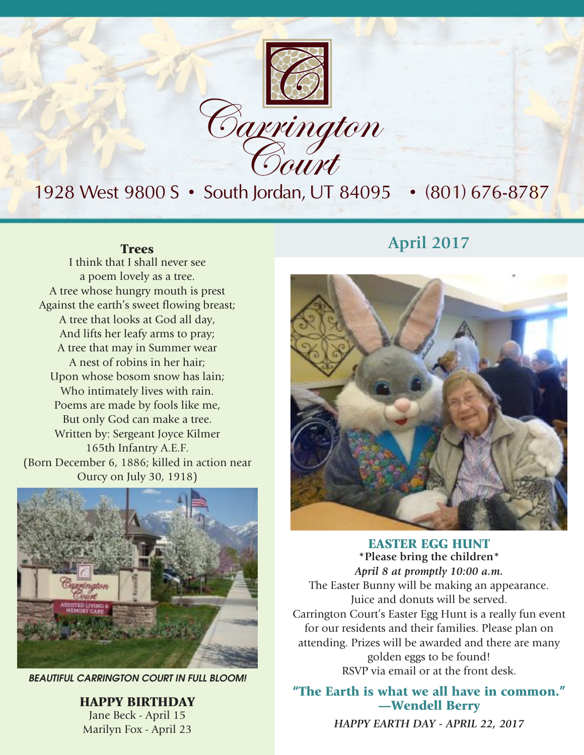

## 1928 West 9800 S • South Jordan, UT 84095 • (801) 676-8787

I think that I shall never see a poem lovely as a tree. A tree whose hungry mouth is prest Against the earth's sweet flowing breast; A tree that looks at God all day, And lifts her leafy arms to pray; A tree that may in Summer wear A nest of robins in her hair; Upon whose bosom snow has lain; Who intimately lives with rain. Poems are made by fools like me, But only God can make a tree. Written by: Sergeant Joyce Kilmer 165th Infantry A.E.F. (Born December 6, 1886; killed in action near Ourcy on July 30, 1918)



*BEAUTIFUL CARRINGTON COURT IN FULL BLOOM!*

HAPPY BIRTHDAY Jane Beck - April 15 Marilyn Fox - April 23

## **Trees April** 2017



EASTER EGG HUNT **\*Please bring the children\*** *April 8 at promptly 10:00 a.m.* The Easter Bunny will be making an appearance. Juice and donuts will be served. Carrington Court's Easter Egg Hunt is a really fun event for our residents and their families. Please plan on attending. Prizes will be awarded and there are many golden eggs to be found! RSVP via email or at the front desk.

### "The Earth is what we all have in common." —Wendell Berry

*HAPPY EARTH DAY - APRIL 22, 2017*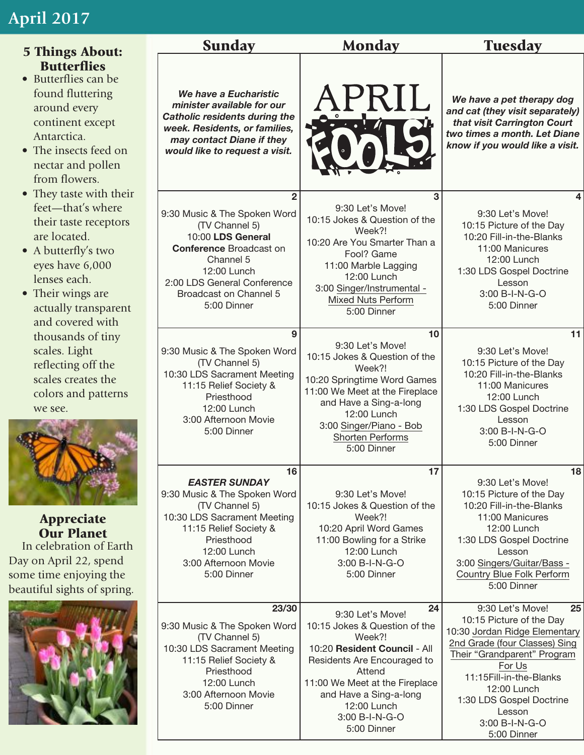## **April 2017**

| <b>5 Things About:</b>                                                                                                                                                                                                                                                                                                                                                                               | <b>Sunday</b>                                                                                                                                                                                                               | <b>Monday</b>                                                                                                                                                                                                                                          | <b>Tuesday</b>                                                                                                                                                                                                                                                                 |
|------------------------------------------------------------------------------------------------------------------------------------------------------------------------------------------------------------------------------------------------------------------------------------------------------------------------------------------------------------------------------------------------------|-----------------------------------------------------------------------------------------------------------------------------------------------------------------------------------------------------------------------------|--------------------------------------------------------------------------------------------------------------------------------------------------------------------------------------------------------------------------------------------------------|--------------------------------------------------------------------------------------------------------------------------------------------------------------------------------------------------------------------------------------------------------------------------------|
| <b>Butterflies</b><br>• Butterflies can be<br>found fluttering<br>around every<br>continent except<br>Antarctica.<br>• The insects feed on<br>nectar and pollen<br>from flowers.<br>• They taste with their<br>feet—that's where<br>their taste receptors<br>are located.<br>• A butterfly's two<br>eyes have 6,000<br>lenses each.<br>• Their wings are<br>actually transparent<br>and covered with | We have a Eucharistic<br>minister available for our<br><b>Catholic residents during the</b><br>week. Residents, or families,<br>may contact Diane if they<br>would like to request a visit.                                 | APRIL                                                                                                                                                                                                                                                  | We have a pet therapy dog<br>and cat (they visit separately)<br>that visit Carrington Court<br>two times a month. Let Diane<br>know if you would like a visit.                                                                                                                 |
|                                                                                                                                                                                                                                                                                                                                                                                                      | $\overline{2}$<br>9:30 Music & The Spoken Word<br>(TV Channel 5)<br>10:00 LDS General<br><b>Conference Broadcast on</b><br>Channel 5<br>12:00 Lunch<br>2:00 LDS General Conference<br>Broadcast on Channel 5<br>5:00 Dinner | 3<br>9:30 Let's Move!<br>10:15 Jokes & Question of the<br>Week?!<br>10:20 Are You Smarter Than a<br>Fool? Game<br>11:00 Marble Lagging<br>12:00 Lunch<br>3:00 Singer/Instrumental -<br><b>Mixed Nuts Perform</b><br>5:00 Dinner                        | 4<br>9:30 Let's Move!<br>10:15 Picture of the Day<br>10:20 Fill-in-the-Blanks<br>11:00 Manicures<br>12:00 Lunch<br>1:30 LDS Gospel Doctrine<br>Lesson<br>3:00 B-I-N-G-O<br>5:00 Dinner                                                                                         |
| thousands of tiny<br>scales. Light<br>reflecting off the<br>scales creates the<br>colors and patterns<br>we see.                                                                                                                                                                                                                                                                                     | 9<br>9:30 Music & The Spoken Word<br>(TV Channel 5)<br>10:30 LDS Sacrament Meeting<br>11:15 Relief Society &<br>Priesthood<br>12:00 Lunch<br>3:00 Afternoon Movie<br>5:00 Dinner                                            | 10<br>9:30 Let's Move!<br>10:15 Jokes & Question of the<br>Week?!<br>10:20 Springtime Word Games<br>11:00 We Meet at the Fireplace<br>and Have a Sing-a-long<br>12:00 Lunch<br>3:00 Singer/Piano - Bob<br>Shorten Performs<br>5:00 Dinner              | 11<br>9:30 Let's Move!<br>10:15 Picture of the Day<br>10:20 Fill-in-the-Blanks<br>11:00 Manicures<br>12:00 Lunch<br>1:30 LDS Gospel Doctrine<br>Lesson<br>3:00 B-I-N-G-O<br>5:00 Dinner                                                                                        |
| <b>Appreciate</b><br><b>Our Planet</b><br>In celebration of Earth<br>Day on April 22, spend<br>some time enjoying the<br>beautiful sights of spring.                                                                                                                                                                                                                                                 | 16<br><b>EASTER SUNDAY</b><br>9:30 Music & The Spoken Word<br>(TV Channel 5)<br>10:30 LDS Sacrament Meeting<br>11:15 Relief Society &<br>Priesthood<br>12:00 Lunch<br>3:00 Afternoon Movie<br>5:00 Dinner                   | 17<br>9:30 Let's Move!<br>10:15 Jokes & Question of the<br>Week?!<br>10:20 April Word Games<br>11:00 Bowling for a Strike<br>12:00 Lunch<br>3:00 B-I-N-G-O<br>5:00 Dinner                                                                              | 18<br>9:30 Let's Move!<br>10:15 Picture of the Day<br>10:20 Fill-in-the-Blanks<br>11:00 Manicures<br>12:00 Lunch<br>1:30 LDS Gospel Doctrine<br>Lesson<br>3:00 Singers/Guitar/Bass -<br>Country Blue Folk Perform<br>5:00 Dinner                                               |
|                                                                                                                                                                                                                                                                                                                                                                                                      | 23/30<br>9:30 Music & The Spoken Word<br>(TV Channel 5)<br>10:30 LDS Sacrament Meeting<br>11:15 Relief Society &<br>Priesthood<br>12:00 Lunch<br>3:00 Afternoon Movie<br>5:00 Dinner                                        | 24<br>9:30 Let's Move!<br>10:15 Jokes & Question of the<br>Week?!<br>10:20 Resident Council - All<br>Residents Are Encouraged to<br>Attend<br>11:00 We Meet at the Fireplace<br>and Have a Sing-a-long<br>12:00 Lunch<br>3:00 B-I-N-G-O<br>5:00 Dinner | 9:30 Let's Move!<br>25<br>10:15 Picture of the Day<br>10:30 Jordan Ridge Elementary<br>2nd Grade (four Classes) Sing<br>Their "Grandparent" Program<br>For Us<br>11:15Fill-in-the-Blanks<br>12:00 Lunch<br>1:30 LDS Gospel Doctrine<br>Lesson<br>3:00 B-I-N-G-O<br>5:00 Dinner |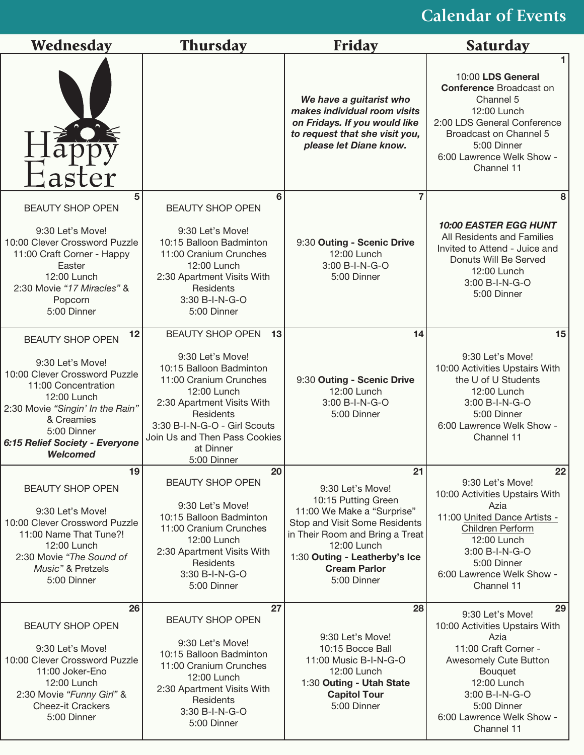## **Calendar of Events**

| Wednesday                                                                                                                                                                                                                                      | <b>Thursday</b>                                                                                                                                                                                                                                               | <b>Friday</b>                                                                                                                                                                                                                         | Saturday                                                                                                                                                                                                                |
|------------------------------------------------------------------------------------------------------------------------------------------------------------------------------------------------------------------------------------------------|---------------------------------------------------------------------------------------------------------------------------------------------------------------------------------------------------------------------------------------------------------------|---------------------------------------------------------------------------------------------------------------------------------------------------------------------------------------------------------------------------------------|-------------------------------------------------------------------------------------------------------------------------------------------------------------------------------------------------------------------------|
| Easter                                                                                                                                                                                                                                         |                                                                                                                                                                                                                                                               | We have a guitarist who<br>makes individual room visits<br>on Fridays. If you would like<br>to request that she visit you,<br>please let Diane know.                                                                                  | 10:00 LDS General<br><b>Conference Broadcast on</b><br>Channel 5<br>12:00 Lunch<br>2:00 LDS General Conference<br>Broadcast on Channel 5<br>5:00 Dinner<br>6:00 Lawrence Welk Show -<br>Channel 11                      |
| 5<br><b>BEAUTY SHOP OPEN</b><br>9:30 Let's Move!<br>10:00 Clever Crossword Puzzle<br>11:00 Craft Corner - Happy<br>Easter<br>12:00 Lunch<br>2:30 Movie "17 Miracles" &<br>Popcorn<br>5:00 Dinner                                               | 6<br><b>BEAUTY SHOP OPEN</b><br>9:30 Let's Move!<br>10:15 Balloon Badminton<br>11:00 Cranium Crunches<br>12:00 Lunch<br>2:30 Apartment Visits With<br>Residents<br>3:30 B-I-N-G-O<br>5:00 Dinner                                                              | 9:30 Outing - Scenic Drive<br>12:00 Lunch<br>3:00 B-I-N-G-O<br>5:00 Dinner                                                                                                                                                            | 8<br>10:00 EASTER EGG HUNT<br>All Residents and Families<br>Invited to Attend - Juice and<br>Donuts Will Be Served<br>12:00 Lunch<br>3:00 B-I-N-G-O<br>5:00 Dinner                                                      |
| 12<br><b>BEAUTY SHOP OPEN</b><br>9:30 Let's Move!<br>10:00 Clever Crossword Puzzle<br>11:00 Concentration<br>12:00 Lunch<br>2:30 Movie "Singin' In the Rain"<br>& Creamies<br>5:00 Dinner<br>6:15 Relief Society - Everyone<br><b>Welcomed</b> | <b>BEAUTY SHOP OPEN</b><br>13<br>9:30 Let's Move!<br>10:15 Balloon Badminton<br>11:00 Cranium Crunches<br>12:00 Lunch<br>2:30 Apartment Visits With<br>Residents<br>3:30 B-I-N-G-O - Girl Scouts<br>Join Us and Then Pass Cookies<br>at Dinner<br>5:00 Dinner | 14<br>9:30 Outing - Scenic Drive<br>12:00 Lunch<br>3:00 B-I-N-G-O<br>5:00 Dinner                                                                                                                                                      | 15<br>9:30 Let's Move!<br>10:00 Activities Upstairs With<br>the U of U Students<br>12:00 Lunch<br>3:00 B-I-N-G-O<br>5:00 Dinner<br>6:00 Lawrence Welk Show -<br>Channel 11                                              |
| 19<br><b>BEAUTY SHOP OPEN</b><br>9:30 Let's Move!<br>10:00 Clever Crossword Puzzle<br>11:00 Name That Tune?!<br>12:00 Lunch<br>2:30 Movie "The Sound of<br>Music" & Pretzels<br>5:00 Dinner                                                    | 20<br><b>BEAUTY SHOP OPEN</b><br>9:30 Let's Move!<br>10:15 Balloon Badminton<br>11:00 Cranium Crunches<br>12:00 Lunch<br>2:30 Apartment Visits With<br>Residents<br>3:30 B-I-N-G-O<br>5:00 Dinner                                                             | 21<br>9:30 Let's Move!<br>10:15 Putting Green<br>11:00 We Make a "Surprise"<br>Stop and Visit Some Residents<br>in Their Room and Bring a Treat<br>12:00 Lunch<br>1:30 Outing - Leatherby's Ice<br><b>Cream Parlor</b><br>5:00 Dinner | 22<br>9:30 Let's Move!<br>10:00 Activities Upstairs With<br>Azia<br>11:00 United Dance Artists -<br>Children Perform<br>12:00 Lunch<br>3:00 B-I-N-G-O<br>5:00 Dinner<br>6:00 Lawrence Welk Show -<br>Channel 11         |
| 26<br><b>BEAUTY SHOP OPEN</b><br>9:30 Let's Move!<br>10:00 Clever Crossword Puzzle<br>11:00 Joker-Eno<br>12:00 Lunch<br>2:30 Movie "Funny Girl" &<br><b>Cheez-it Crackers</b><br>5:00 Dinner                                                   | 27<br><b>BEAUTY SHOP OPEN</b><br>9:30 Let's Move!<br>10:15 Balloon Badminton<br>11:00 Cranium Crunches<br>12:00 Lunch<br>2:30 Apartment Visits With<br>Residents<br>3:30 B-I-N-G-O<br>5:00 Dinner                                                             | 28<br>9:30 Let's Move!<br>10:15 Bocce Ball<br>11:00 Music B-I-N-G-O<br>12:00 Lunch<br>1:30 Outing - Utah State<br><b>Capitol Tour</b><br>5:00 Dinner                                                                                  | 29<br>9:30 Let's Move!<br>10:00 Activities Upstairs With<br>Azia<br>11:00 Craft Corner -<br>Awesomely Cute Button<br>Bouquet<br>12:00 Lunch<br>3:00 B-I-N-G-O<br>5:00 Dinner<br>6:00 Lawrence Welk Show -<br>Channel 11 |